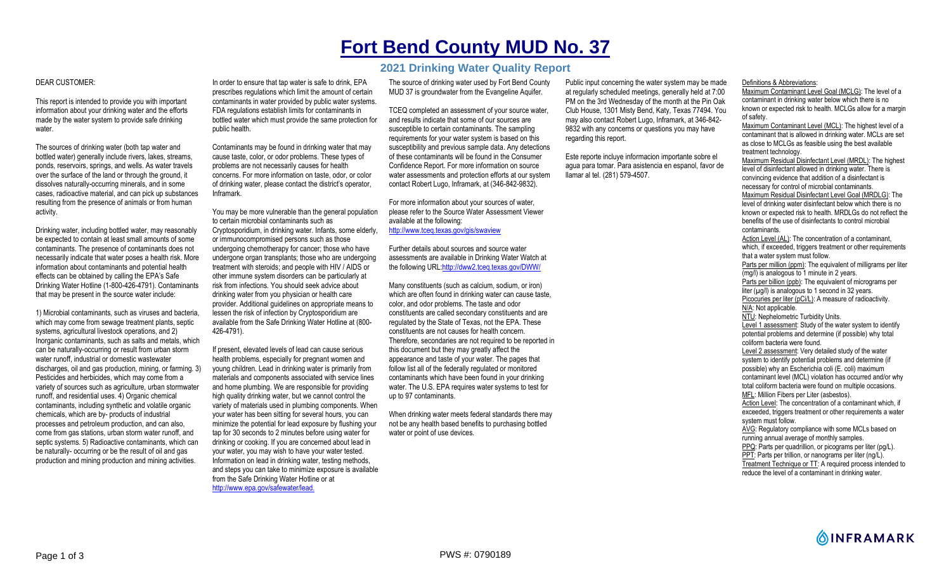## **Fort Bend County MUD No. 37**

## **2021 Drinking Water Quality Report**

## DEAR CUSTOMER:

This report is intended to provide you with important information about your drinking water and the efforts made by the water system to provide safe drinking water.

The sources of drinking water (both tap water and bottled water) generally include rivers, lakes, streams, ponds, reservoirs, springs, and wells. As water travels over the surface of the land or through the ground, it dissolves naturally-occurring minerals, and in some cases, radioactive material, and can pick up substances resulting from the presence of animals or from human activity.

Drinking water, including bottled water, may reasonably be expected to contain at least small amounts of some contaminants. The presence of contaminants does not necessarily indicate that water poses a health risk. More information about contaminants and potential health effects can be obtained by calling the EPA's Safe Drinking Water Hotline (1-800-426-4791). Contaminants that may be present in the source water include:

1) Microbial contaminants, such as viruses and bacteria, which may come from sewage treatment plants, septic systems, agricultural livestock operations, and 2) Inorganic contaminants, such as salts and metals, which can be naturally-occurring or result from urban storm water runoff, industrial or domestic wastewater discharges, oil and gas production, mining, or farming. 3) Pesticides and herbicides, which may come from a variety of sources such as agriculture, urban stormwater runoff, and residential uses. 4) Organic chemical contaminants, including synthetic and volatile organic chemicals, which are by- products of industrial processes and petroleum production, and can also, come from gas stations, urban storm water runoff, and septic systems. 5) Radioactive contaminants, which can be naturally- occurring or be the result of oil and gas production and mining production and mining activities.

In order to ensure that tap water is safe to drink, EPA prescribes regulations which limit the amount of certain contaminants in water provided by public water systems. FDA regulations establish limits for contaminants in bottled water which must provide the same protection for public health.

Contaminants may be found in drinking water that may cause taste, color, or odor problems. These types of problems are not necessarily causes for health concerns. For more information on taste, odor, or color of drinking water, please contact the district's operator, Inframark.

You may be more vulnerable than the general population to certain microbial contaminants such as Cryptosporidium, in drinking water. Infants, some elderly, or immunocompromised persons such as those undergoing chemotherapy for cancer; those who have undergone organ transplants; those who are undergoing treatment with steroids; and people with HIV / AIDS or other immune system disorders can be particularly at risk from infections. You should seek advice about drinking water from you physician or health care provider. Additional guidelines on appropriate means to lessen the risk of infection by Cryptosporidium are available from the Safe Drinking Water Hotline at (800- 426-4791).

If present, elevated levels of lead can cause serious health problems, especially for pregnant women and young children. Lead in drinking water is primarily from materials and components associated with service lines and home plumbing. We are responsible for providing high quality drinking water, but we cannot control the variety of materials used in plumbing components. When your water has been sitting for several hours, you can minimize the potential for lead exposure by flushing your tap for 30 seconds to 2 minutes before using water for drinking or cooking. If you are concerned about lead in your water, you may wish to have your water tested. Information on lead in drinking water, testing methods, and steps you can take to minimize exposure is available from the Safe Drinking Water Hotline or at http://www.epa.gov/safewater/lead.

The source of drinking water used by Fort Bend County MUD 37 is groundwater from the Evangeline Aquifer.

TCEQ completed an assessment of your source water, and results indicate that some of our sources are susceptible to certain contaminants. The sampling requirements for your water system is based on this susceptibility and previous sample data. Any detections of these contaminants will be found in the Consumer Confidence Report. For more information on source water assessments and protection efforts at our system contact Robert Lugo, Inframark, at (346-842-9832).

For more information about your sources of water, please refer to the Source Water Assessment Viewer available at the following: http://www.tceq.texas.gov/gis/swaview

Further details about sources and source water assessments are available in Drinking Water Watch at the following URL:http://dww2.tceq.texas.gov/DWW/

Many constituents (such as calcium, sodium, or iron) which are often found in drinking water can cause taste. color, and odor problems. The taste and odor constituents are called secondary constituents and are regulated by the State of Texas, not the EPA. These constituents are not causes for health concern. Therefore, secondaries are not required to be reported in this document but they may greatly affect the appearance and taste of your water. The pages that follow list all of the federally regulated or monitored contaminants which have been found in your drinking water. The U.S. EPA requires water systems to test for up to 97 contaminants.

When drinking water meets federal standards there may not be any health based benefits to purchasing bottled water or point of use devices.

Public input concerning the water system may be made at regularly scheduled meetings, generally held at 7:00 PM on the 3rd Wednesday of the month at the Pin Oak Club House, 1301 Misty Bend, Katy, Texas 77494. You may also contact Robert Lugo, Inframark, at 346-842- 9832 with any concerns or questions you may have regarding this report.

Este reporte incluye informacion importante sobre el agua para tomar. Para asistencia en espanol, favor de llamar al tel. (281) 579-4507.

Definitions & Abbreviations:

Maximum Contaminant Level Goal (MCLG): The level of a contaminant in drinking water below which there is no known or expected risk to health. MCLGs allow for a margin of safety.

Maximum Contaminant Level (MCL): The highest level of a contaminant that is allowed in drinking water. MCLs are set as close to MCLGs as feasible using the best available treatment technology.

Maximum Residual Disinfectant Level (MRDL): The highest level of disinfectant allowed in drinking water. There is convincing evidence that addition of a disinfectant is necessary for control of microbial contaminants. Maximum Residual Disinfectant Level Goal (MRDLG): The level of drinking water disinfectant below which there is no known or expected risk to health. MRDLGs do not reflect the benefits of the use of disinfectants to control microbial contaminants.

Action Level (AL): The concentration of a contaminant, which, if exceeded, triggers treatment or other requirements that a water system must follow. Parts per million (ppm): The equivalent of milligrams per liter (mg/l) is analogous to 1 minute in 2 years. Parts per billion (ppb): The equivalent of micrograms per liter (ug/l) is analogous to 1 second in 32 years. Picocuries per liter (pCi/L): A measure of radioactivity. N/A: Not applicable. NTU: Nephelometric Turbidity Units. Level 1 assessment: Study of the water system to identify potential problems and determine (if possible) why total coliform bacteria were found. Level 2 assessment: Very detailed study of the water system to identify potential problems and determine (if possible) why an Escherichia coli (E. coli) maximum contaminant level (MCL) violation has occurred and/or why total coliform bacteria were found on multiple occasions. MFL: Million Fibers per Liter (asbestos). Action Level: The concentration of a contaminant which, if exceeded, triggers treatment or other requirements a water system must follow. AVG: Regulatory compliance with some MCLs based on running annual average of monthly samples. PPQ: Parts per quadrillion, or picograms per liter (pg/L). PPT: Parts per trillion, or nanograms per liter (ng/L). Treatment Technique or TT: A required process intended to

reduce the level of a contaminant in drinking water.

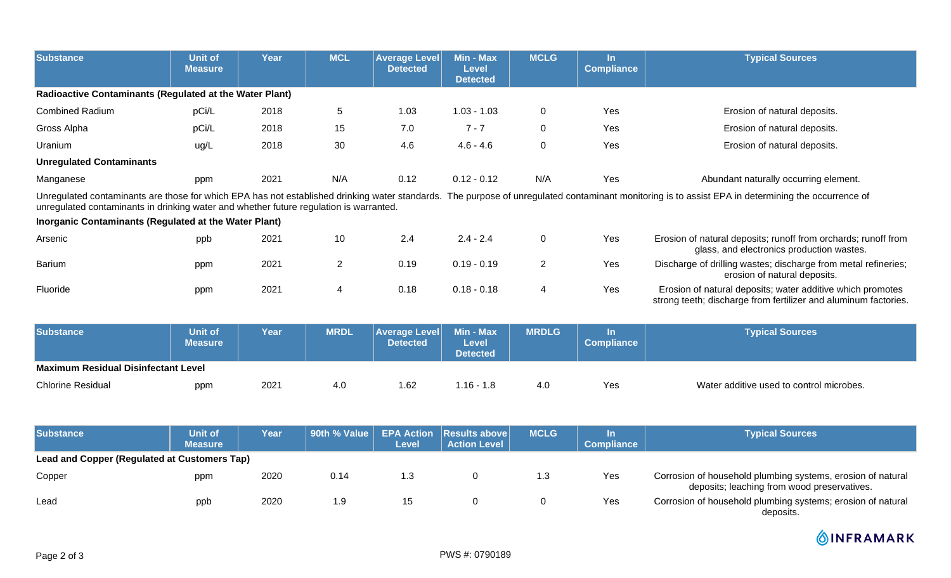| <b>Substance</b>                                                                                                                                                                                                                                                                             | <b>Unit of</b><br><b>Measure</b> | Year        | <b>MCL</b>     | <b>Average Level</b><br><b>Detected</b> | Min - Max<br><b>Level</b><br><b>Detected</b> | <b>MCLG</b>  | In.<br><b>Compliance</b>             | <b>Typical Sources</b>                                                                                                        |  |
|----------------------------------------------------------------------------------------------------------------------------------------------------------------------------------------------------------------------------------------------------------------------------------------------|----------------------------------|-------------|----------------|-----------------------------------------|----------------------------------------------|--------------|--------------------------------------|-------------------------------------------------------------------------------------------------------------------------------|--|
| <b>Radioactive Contaminants (Regulated at the Water Plant)</b>                                                                                                                                                                                                                               |                                  |             |                |                                         |                                              |              |                                      |                                                                                                                               |  |
| <b>Combined Radium</b>                                                                                                                                                                                                                                                                       | pCi/L                            | 2018        | 5              | 1.03                                    | $1.03 - 1.03$                                | $\mathbf 0$  | Yes                                  | Erosion of natural deposits.                                                                                                  |  |
| Gross Alpha                                                                                                                                                                                                                                                                                  | pCi/L                            | 2018        | 15             | 7.0                                     | $7 - 7$                                      | $\mathbf 0$  | Yes                                  | Erosion of natural deposits.                                                                                                  |  |
| Uranium                                                                                                                                                                                                                                                                                      | ug/L                             | 2018        | 30             | 4.6                                     | $4.6 - 4.6$                                  | $\mathbf 0$  | Yes                                  | Erosion of natural deposits.                                                                                                  |  |
| <b>Unregulated Contaminants</b>                                                                                                                                                                                                                                                              |                                  |             |                |                                         |                                              |              |                                      |                                                                                                                               |  |
| Manganese                                                                                                                                                                                                                                                                                    | ppm                              | 2021        | N/A            | 0.12                                    | $0.12 - 0.12$                                | N/A          | Yes                                  | Abundant naturally occurring element.                                                                                         |  |
| Unregulated contaminants are those for which EPA has not established drinking water standards. The purpose of unregulated contaminant monitoring is to assist EPA in determining the occurrence of<br>unregulated contaminants in drinking water and whether future regulation is warranted. |                                  |             |                |                                         |                                              |              |                                      |                                                                                                                               |  |
| Inorganic Contaminants (Regulated at the Water Plant)                                                                                                                                                                                                                                        |                                  |             |                |                                         |                                              |              |                                      |                                                                                                                               |  |
| Arsenic                                                                                                                                                                                                                                                                                      | ppb                              | 2021        | 10             | 2.4                                     | $2.4 - 2.4$                                  | $\mathbf 0$  | Yes                                  | Erosion of natural deposits; runoff from orchards; runoff from<br>glass, and electronics production wastes.                   |  |
| Barium                                                                                                                                                                                                                                                                                       | ppm                              | 2021        | $\overline{2}$ | 0.19                                    | $0.19 - 0.19$                                | 2            | Yes                                  | Discharge of drilling wastes; discharge from metal refineries;<br>erosion of natural deposits.                                |  |
| Fluoride                                                                                                                                                                                                                                                                                     | ppm                              | 2021        | 4              | 0.18                                    | $0.18 - 0.18$                                | 4            | Yes                                  | Erosion of natural deposits; water additive which promotes<br>strong teeth; discharge from fertilizer and aluminum factories. |  |
| <b>Substance</b>                                                                                                                                                                                                                                                                             | <b>Unit of</b>                   | <b>Year</b> | <b>MRDL</b>    | <b>Average Level</b>                    | Min - Max                                    | <b>MRDLG</b> | $\ln$<br>$\sim$<br><b>STATISTICS</b> | <b>Typical Sources</b>                                                                                                        |  |

|                                            | <b>Measure</b> |      |     | <b>Detected</b> | Level<br>Detected |     | Compliance <sup>1</sup> |                                          |  |
|--------------------------------------------|----------------|------|-----|-----------------|-------------------|-----|-------------------------|------------------------------------------|--|
| <b>Maximum Residual Disinfectant Level</b> |                |      |     |                 |                   |     |                         |                                          |  |
| <b>Chlorine Residual</b>                   | ppm            | 2021 | 4.0 | 1.62            | $.16 -$           | 4.0 | Yes                     | Water additive used to control microbes. |  |

| Substance                                    | <b>Unit of</b><br><b>Measure</b> | Year |      | Level | 90th % Value   EPA Action   Results above  <br><b>Action Level</b> | <b>MCLG</b> | <b>Compliance</b> | <b>Typical Sources</b>                                                                                     |  |  |
|----------------------------------------------|----------------------------------|------|------|-------|--------------------------------------------------------------------|-------------|-------------------|------------------------------------------------------------------------------------------------------------|--|--|
| Lead and Copper (Regulated at Customers Tap) |                                  |      |      |       |                                                                    |             |                   |                                                                                                            |  |  |
| Copper                                       | ppm                              | 2020 | 0.14 | 1.3   |                                                                    | 1.3         | Yes               | Corrosion of household plumbing systems, erosion of natural<br>deposits; leaching from wood preservatives. |  |  |
| Lead                                         | ppb                              | 2020 | .9   | 15    |                                                                    |             | Yes               | Corrosion of household plumbing systems; erosion of natural<br>deposits.                                   |  |  |